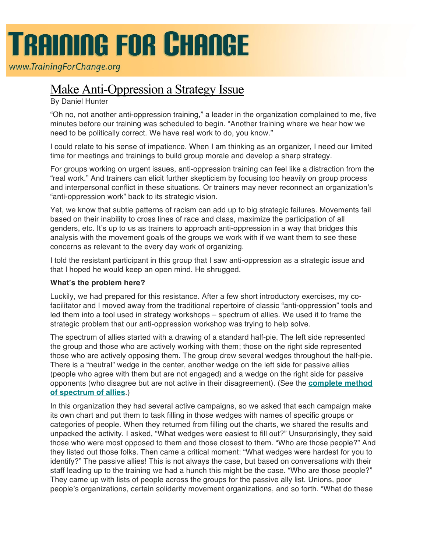# **TRAINING FOR CHANGE**

www.TrainingForChange.org

## Make Anti-Oppression a Strategy Issue

### By Daniel Hunter

"Oh no, not another anti-oppression training," a leader in the organization complained to me, five minutes before our training was scheduled to begin. "Another training where we hear how we need to be politically correct. We have real work to do, you know."

I could relate to his sense of impatience. When I am thinking as an organizer, I need our limited time for meetings and trainings to build group morale and develop a sharp strategy.

For groups working on urgent issues, anti-oppression training can feel like a distraction from the "real work." And trainers can elicit further skepticism by focusing too heavily on group process and interpersonal conflict in these situations. Or trainers may never reconnect an organization's "anti-oppression work" back to its strategic vision.

Yet, we know that subtle patterns of racism can add up to big strategic failures. Movements fail based on their inability to cross lines of race and class, maximize the participation of all genders, etc. It's up to us as trainers to approach anti-oppression in a way that bridges this analysis with the movement goals of the groups we work with if we want them to see these concerns as relevant to the every day work of organizing.

I told the resistant participant in this group that I saw anti-oppression as a strategic issue and that I hoped he would keep an open mind. He shrugged.

#### **What's the problem here?**

Luckily, we had prepared for this resistance. After a few short introductory exercises, my cofacilitator and I moved away from the traditional repertoire of classic "anti-oppression" tools and led them into a tool used in strategy workshops – spectrum of allies. We used it to frame the strategic problem that our anti-oppression workshop was trying to help solve.

The spectrum of allies started with a drawing of a standard half-pie. The left side represented the group and those who are actively working with them; those on the right side represented those who are actively opposing them. The group drew several wedges throughout the half-pie. There is a "neutral" wedge in the center, another wedge on the left side for passive allies (people who agree with them but are not engaged) and a wedge on the right side for passive opponents (who disagree but are not active in their disagreement). (See the **complete method of spectrum of allies**.)

In this organization they had several active campaigns, so we asked that each campaign make its own chart and put them to task filling in those wedges with names of specific groups or categories of people. When they returned from filling out the charts, we shared the results and unpacked the activity. I asked, "What wedges were easiest to fill out?" Unsurprisingly, they said those who were most opposed to them and those closest to them. "Who are those people?" And they listed out those folks. Then came a critical moment: "What wedges were hardest for you to identify?" The passive allies! This is not always the case, but based on conversations with their staff leading up to the training we had a hunch this might be the case. "Who are those people?" They came up with lists of people across the groups for the passive ally list. Unions, poor people's organizations, certain solidarity movement organizations, and so forth. "What do these